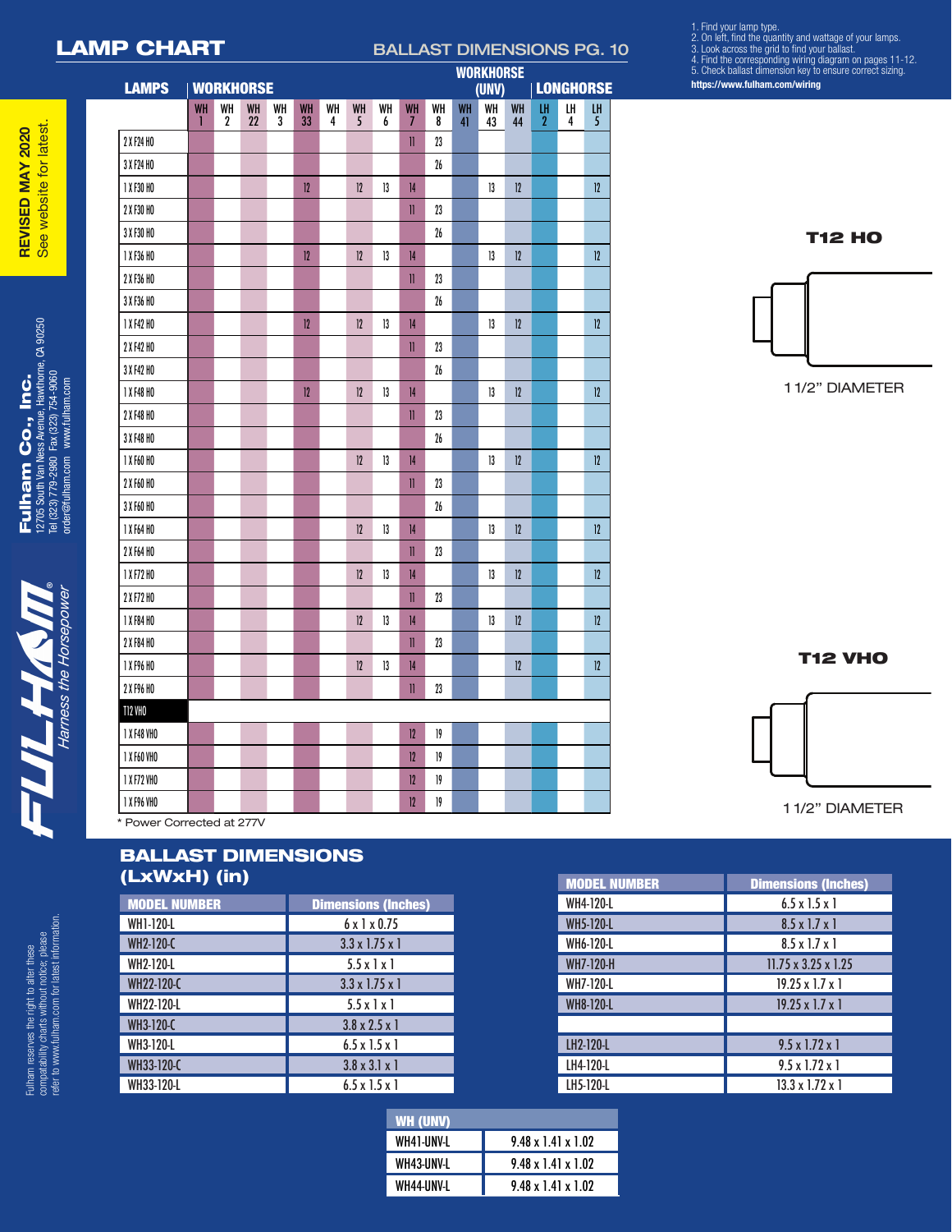## LAMP CHART BALLAST DIMENSIONS PG. 10

**WORKHORSE** 

1. Find your lamp type.<br>2. On left, find the quantity and wattage of your lamps.<br>3. Look across the grid to find your ballast.<br>4. Find the corresponding wiring diagram on pages 11-12.<br>5. Check ballast dimension key to ensu

**https://www.fulham.com/wiring**

| - |  |
|---|--|
| ٠ |  |
|   |  |
|   |  |
|   |  |
|   |  |
|   |  |
|   |  |
| ٠ |  |

 $\begin{array}{l} \mathsf{FullHam} \hspace{0.5em} \mathsf{Co}_{\bullet} \text{, In} \text{C}_{\bullet} \ \text{In} \ \text{In} \ \text{in} \ \text{1776} \text{ Soth} \text{ van } \text{Mess} \text{ Meme} \text{. Hawthome, CA} \text{ 90250} \ \text{Id} \text{ (323) 73-2980} \text{ } \text{Fac} \text{ (323) 754-9060} \ \text{ordeofulham.com} \ \text{www. Hilham.com} \end{array}$ 12705 South Van Ness Avenue, Hawthorne, CA 90250 Tel (323) 779-2980 Fax (323) 754-9060 Fulham Co., Inc. order@fulham.com www.fulham.com

 Fulham reserves the right to alter these compatability charts without notice; please refer to www.fulham.com for latest information.

Fulham reserves the right to alter these<br>compatability charts without notice; please<br>refer to www.fulham.com for latest information.

| <b>LAMPS</b> |                | <b>WORKHORSE</b>       |                 |         |          |         |         |         |                |         |                       | (UNV)    |          |                      | <b>LONGHORSE</b> |                      |
|--------------|----------------|------------------------|-----------------|---------|----------|---------|---------|---------|----------------|---------|-----------------------|----------|----------|----------------------|------------------|----------------------|
|              | <b>WH</b><br>ı | WH<br>$\boldsymbol{2}$ | <b>WH</b><br>22 | WH<br>3 | WH<br>33 | WH<br>4 | WH<br>5 | WH<br>6 | <b>WH</b><br>7 | WH<br>8 | WH<br>$\overline{41}$ | WH<br>43 | WH<br>44 | LH<br>$\overline{2}$ | LH<br>4          | LH<br>$\overline{5}$ |
| 2 X F24 HO   |                |                        |                 |         |          |         |         |         | $\rm II$       | 23      |                       |          |          |                      |                  |                      |
| 3 X F24 HO   |                |                        |                 |         |          |         |         |         |                | $26\,$  |                       |          |          |                      |                  |                      |
| 1 X F30 HO   |                |                        |                 |         | 12       |         | 12      | 13      | 4              |         |                       | 13       | 12       |                      |                  | 12                   |
| 2 X F30 HO   |                |                        |                 |         |          |         |         |         | $\mathbf{II}$  | 23      |                       |          |          |                      |                  |                      |
| 3 X F30 HO   |                |                        |                 |         |          |         |         |         |                | $26\,$  |                       |          |          |                      |                  |                      |
| 1 X F36 HO   |                |                        |                 |         | 12       |         | 12      | 13      | 4              |         |                       | 13       | 12       |                      |                  | 12                   |
| 2 X F36 HO   |                |                        |                 |         |          |         |         |         | II             | 23      |                       |          |          |                      |                  |                      |
| 3 X F36 HO   |                |                        |                 |         |          |         |         |         |                | 26      |                       |          |          |                      |                  |                      |
| 1 X F42 HO   |                |                        |                 |         | 12       |         | 12      | 13      | 4              |         |                       | 13       | 12       |                      |                  | 12                   |
| 2 X F42 HO   |                |                        |                 |         |          |         |         |         | $\mathbf{II}$  | 23      |                       |          |          |                      |                  |                      |
| 3 X F42 HO   |                |                        |                 |         |          |         |         |         |                | $26\,$  |                       |          |          |                      |                  |                      |
| 1 X F48 HO   |                |                        |                 |         | 12       |         | 12      | 13      | 14             |         |                       | 13       | 12       |                      |                  | 12                   |
| 2 X F48 HO   |                |                        |                 |         |          |         |         |         | $\mathbb{I}$   | 23      |                       |          |          |                      |                  |                      |
| 3 X F48 HO   |                |                        |                 |         |          |         |         |         |                | $26\,$  |                       |          |          |                      |                  |                      |
| 1 X F60 HO   |                |                        |                 |         |          |         | 12      | 13      | 4              |         |                       | 13       | 12       |                      |                  | 12                   |
| 2 X F60 HO   |                |                        |                 |         |          |         |         |         | II             | 23      |                       |          |          |                      |                  |                      |
| 3 X F60 HO   |                |                        |                 |         |          |         |         |         |                | $26\,$  |                       |          |          |                      |                  |                      |
| 1 X F64 HO   |                |                        |                 |         |          |         | 12      | 13      | 4              |         |                       | 13       | 12       |                      |                  | 12                   |
| 2 X F64 HO   |                |                        |                 |         |          |         |         |         | $\mathbf{I}$   | 23      |                       |          |          |                      |                  |                      |
| 1 X F72 HO   |                |                        |                 |         |          |         | 12      | 13      | 4              |         |                       | 13       | 12       |                      |                  | 12                   |
| 2 X F72 HO   |                |                        |                 |         |          |         |         |         | $\mathbf{I}$   | 23      |                       |          |          |                      |                  |                      |
| 1 X F84 HO   |                |                        |                 |         |          |         | 12      | 13      | 4              |         |                       | 13       | 12       |                      |                  | 12                   |
| 2 X F84 HO   |                |                        |                 |         |          |         |         |         | $\mathbf{II}$  | 23      |                       |          |          |                      |                  |                      |
| 1 X F96 HO   |                |                        |                 |         |          |         | $12\,$  | 13      | 4              |         |                       |          | 12       |                      |                  | 12                   |
| 2 X F96 HO   |                |                        |                 |         |          |         |         |         | II             | 23      |                       |          |          |                      |                  |                      |
| T12 VHO      |                |                        |                 |         |          |         |         |         |                |         |                       |          |          |                      |                  |                      |
| 1 X F48 VHO  |                |                        |                 |         |          |         |         |         | 12             | 19      |                       |          |          |                      |                  |                      |
| 1 X F60 VHO  |                |                        |                 |         |          |         |         |         | 12             | 19      |                       |          |          |                      |                  |                      |
| 1 X F72 VHO  |                |                        |                 |         |          |         |         |         | 12             | $19\,$  |                       |          |          |                      |                  |                      |
| 1 X F96 VHO  |                |                        |                 |         |          |         |         |         | 12             | $19\,$  |                       |          |          |                      |                  |                      |

T12 HO



T12 VHO



## BALLAST DIMENSIONS (LxWxH) (in)

| <b>MODEL NUMBER</b> | <b>Dimensions (Inches)</b> |
|---------------------|----------------------------|
| <b>WH1-120-L</b>    | $6 \times 1 \times 0.75$   |
| <b>WH2-120-C</b>    | $3.3 \times 1.75 \times 1$ |
| <b>WH2-120-L</b>    | $5.5 \times 1 \times 1$    |
| WH22-120-C          | $3.3 \times 1.75 \times 1$ |
| <b>WH22-120-L</b>   | $5.5 \times 1 \times 1$    |
| <b>WH3-120-C</b>    | $3.8 \times 2.5 \times 1$  |
| <b>WH3-120-L</b>    | $6.5 \times 1.5 \times 1$  |
| WH33-120-C          | $3.8 \times 3.1 \times 1$  |
| WH33-120-L          | $6.5 \times 1.5 \times 1$  |

| WH (UNV)   |                                |
|------------|--------------------------------|
| WH41-UNV-L | $9.48 \times 1.41 \times 1.02$ |
| WH43-UNV-L | $9.48 \times 1.41 \times 1.02$ |
| WH44-UNV-L | $9.48 \times 1.41 \times 1.02$ |

| <b>MODEL NUMBER</b> | <b>Dimensions (Inches)</b>      |
|---------------------|---------------------------------|
| <b>WH4-120-L</b>    | $6.5 \times 1.5 \times 1$       |
| <b>WH5-120-L</b>    | $8.5 \times 1.7 \times 1$       |
| <b>WH6-120-L</b>    | $8.5 \times 1.7 \times 1$       |
| <b>WH7-120-H</b>    | $11.75 \times 3.25 \times 1.25$ |
| <b>WH7-120-L</b>    | $19.25 \times 1.7 \times 1$     |
| <b>WH8-120-L</b>    | $19.25 \times 1.7 \times 1$     |
|                     |                                 |
| LH2-120-L           | $9.5 \times 1.72 \times 1$      |
| LH4-120-L           | $9.5 \times 1.72 \times 1$      |
| LH5-120-L           | $13.3 \times 1.72 \times 1$     |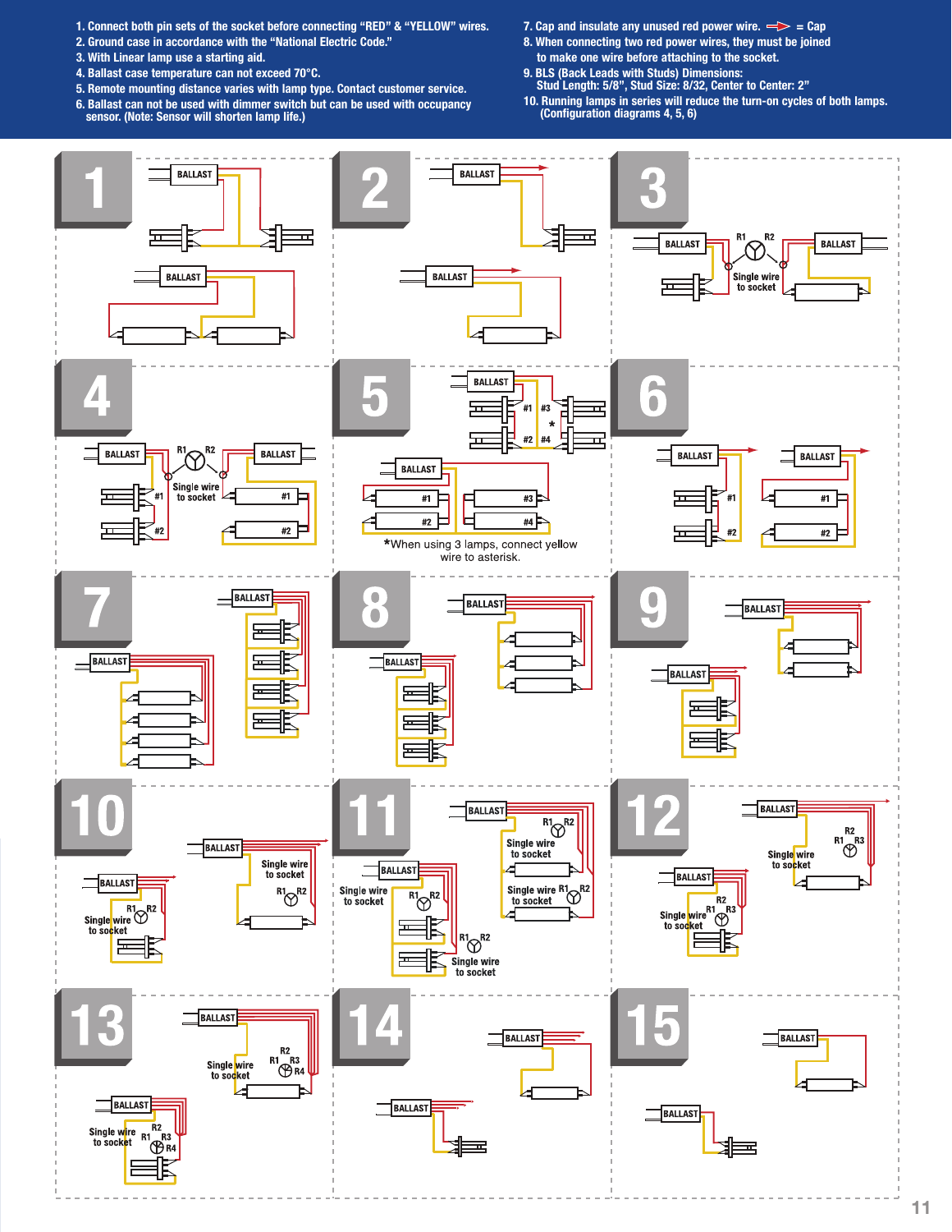- **1. Connect both pin sets of the socket before connecting "RED" & "YELLOW" wires.**
- **2. Ground case in accordance with the "National Electric Code."**
- **3. With Linear lamp use a starting aid.**
- **4. Ballast case temperature can not exceed 70°C.**
- **5. Remote mounting distance varies with lamp type. Contact customer service.**
- **6. Ballast can not be used with dimmer switch but can be used with occupancy sensor. (Note: Sensor will shorten lamp life.)**
- **7. Cap and insulate any unused red power wire.**  $\Rightarrow$  = Cap
- **8. When connecting two red power wires, they must be joined**
- **to make one wire before attaching to the socket. 9. BLS (Back Leads with Studs) Dimensions: Stud Length: 5/8", Stud Size: 8/32, Center to Center: 2"**
- **10. Running lamps in series will reduce the turn-on cycles of both lamps. (Configuration diagrams 4, 5, 6)**